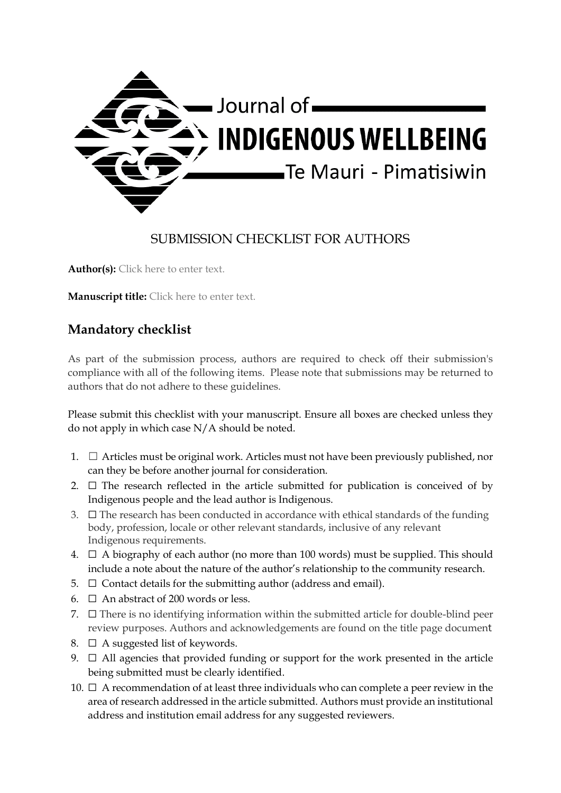

## SUBMISSION CHECKLIST FOR AUTHORS

Author(s): Click here to enter text.

**Manuscript title:** Click here to enter text.

## **Mandatory checklist**

As part of the submission process, authors are required to check off their submission's compliance with all of the following items. Please note that submissions may be returned to authors that do not adhere to these guidelines.

Please submit this checklist with your manuscript. Ensure all boxes are checked unless they do not apply in which case N/A should be noted.

- 1.  $\Box$  Articles must be original work. Articles must not have been previously published, nor can they be before another journal for consideration.
- 2.  $\Box$  The research reflected in the article submitted for publication is conceived of by Indigenous people and the lead author is Indigenous.
- $3. \Box$  The research has been conducted in accordance with ethical standards of the funding body, profession, locale or other relevant standards, inclusive of any relevant Indigenous requirements.
- 4.  $\Box$  A biography of each author (no more than 100 words) must be supplied. This should include a note about the nature of the author's relationship to the community research.
- 5.  $\Box$  Contact details for the submitting author (address and email).
- 6.  $\Box$  An abstract of 200 words or less.
- 7.  $\Box$  There is no identifying information within the submitted article for double-blind peer review purposes. Authors and acknowledgements are found on the title page document
- 8.  $\Box$  A suggested list of keywords.
- 9.  $\Box$  All agencies that provided funding or support for the work presented in the article being submitted must be clearly identified.
- 10.  $\Box$  A recommendation of at least three individuals who can complete a peer review in the area of research addressed in the article submitted. Authors must provide an institutional address and institution email address for any suggested reviewers.